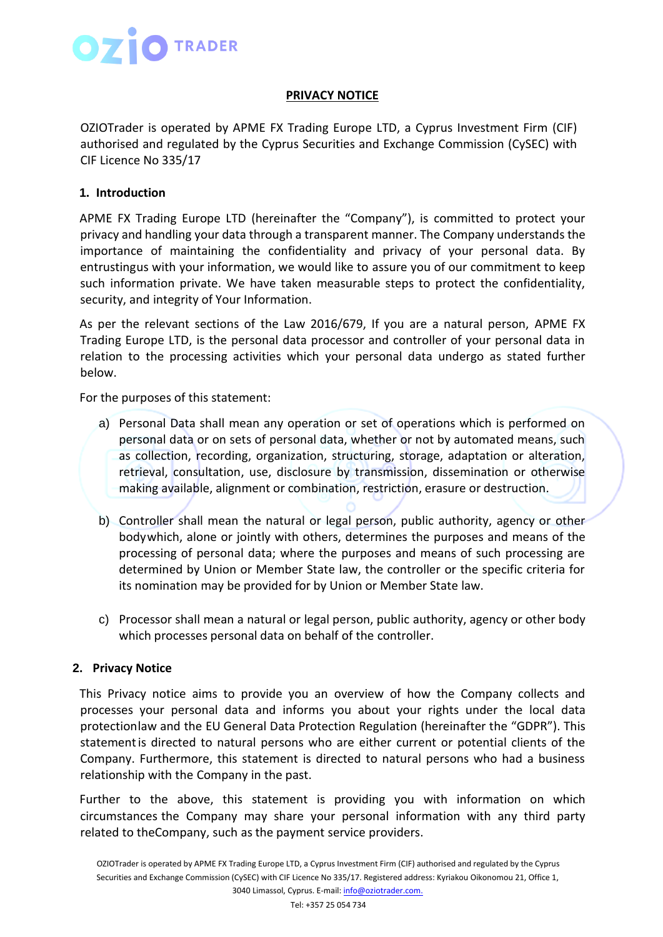

### **PRIVACY NOTICE**

OZIOTrader is operated by APME FX Trading Europe LTD, a Cyprus Investment Firm (CIF) authorised and regulated by the Cyprus Securities and Exchange Commission (CySEC) with CIF Licence No 335/17

### **1. Introduction**

APME FX Trading Europe LTD (hereinafter the "Company"), is committed to protect your privacy and handling your data through a transparent manner. The Company understands the importance of maintaining the confidentiality and privacy of your personal data. By entrustingus with your information, we would like to assure you of our commitment to keep such information private. We have taken measurable steps to protect the confidentiality, security, and integrity of Your Information.

As per the relevant sections of the Law 2016/679, If you are a natural person, APME FX Trading Europe LTD, is the personal data processor and controller of your personal data in relation to the processing activities which your personal data undergo as stated further below.

For the purposes of this statement:

- a) Personal Data shall mean any operation or set of operations which is performed on personal data or on sets of personal data, whether or not by automated means, such as collection, recording, organization, structuring, storage, adaptation or alteration, retrieval, consultation, use, disclosure by transmission, dissemination or otherwise making available, alignment or combination, restriction, erasure or destruction.
- b) Controller shall mean the natural or legal person, public authority, agency or other bodywhich, alone or jointly with others, determines the purposes and means of the processing of personal data; where the purposes and means of such processing are determined by Union or Member State law, the controller or the specific criteria for its nomination may be provided for by Union or Member State law.
- c) Processor shall mean a natural or legal person, public authority, agency or other body which processes personal data on behalf of the controller.

#### **2. Privacy Notice**

This Privacy notice aims to provide you an overview of how the Company collects and processes your personal data and informs you about your rights under the local data protectionlaw and the EU General Data Protection Regulation (hereinafter the "GDPR"). This statementis directed to natural persons who are either current or potential clients of the Company. Furthermore, this statement is directed to natural persons who had a business relationship with the Company in the past.

Further to the above, this statement is providing you with information on which circumstances the Company may share your personal information with any third party related to theCompany, such as the payment service providers.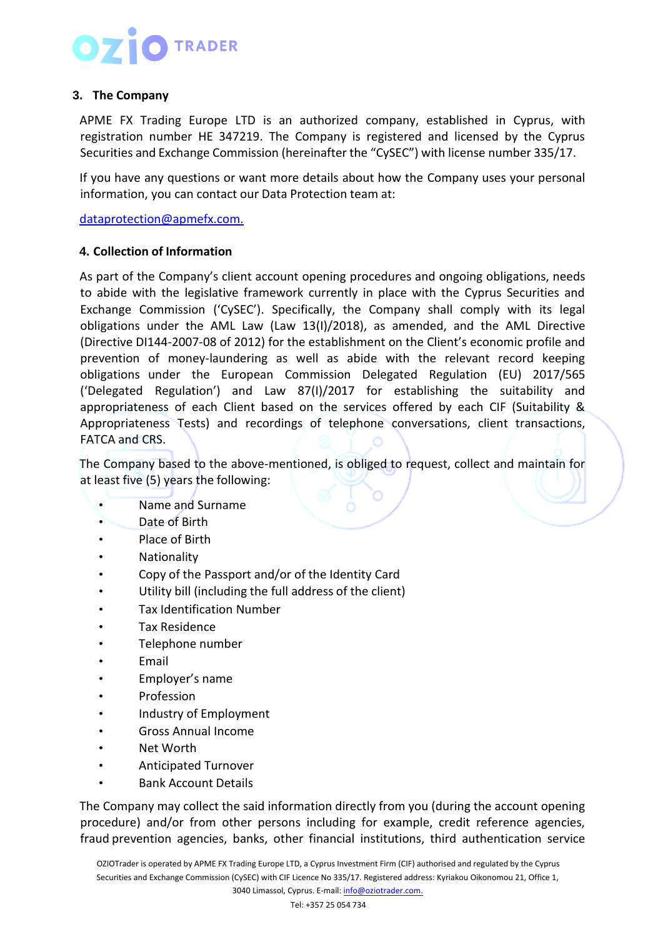## **3. The Company**

APME FX Trading Europe LTD is an authorized company, established in Cyprus, with registration number HE 347219. The Company is registered and licensed by the Cyprus Securities and Exchange Commission (hereinafter the "CySEC") with license number 335/17.

If you have any questions or want more details about how the Company uses your personal information, you can contact our Data Protection team at:

[dataprotection@apmefx.com.](mailto:dataprotection@apmefx.com.)

### **4. Collection of Information**

As part of the Company's client account opening procedures and ongoing obligations, needs to abide with the legislative framework currently in place with the Cyprus Securities and Exchange Commission ('CySEC'). Specifically, the Company shall comply with its legal obligations under the AML Law (Law 13(I)/2018), as amended, and the AML Directive (Directive DI144-2007-08 of 2012) for the establishment on the Client's economic profile and prevention of money-laundering as well as abide with the relevant record keeping obligations under the European Commission Delegated Regulation (EU) 2017/565 ('Delegated Regulation') and Law 87(I)/2017 for establishing the suitability and appropriateness of each Client based on the services offered by each CIF (Suitability & Appropriateness Tests) and recordings of telephone conversations, client transactions, FATCA and CRS.

The Company based to the above-mentioned, is obliged to request, collect and maintain for at least five (5) years the following:

- Name and Surname
- Date of Birth
- Place of Birth
- Nationality
- Copy of the Passport and/or of the Identity Card
- Utility bill (including the full address of the client)
- Tax Identification Number
- Tax Residence
- Telephone number
- **Email**
- Employer's name
- Profession
- Industry of Employment
- Gross Annual Income
- Net Worth
- Anticipated Turnover
- Bank Account Details

The Company may collect the said information directly from you (during the account opening procedure) and/or from other persons including for example, credit reference agencies, fraud prevention agencies, banks, other financial institutions, third authentication service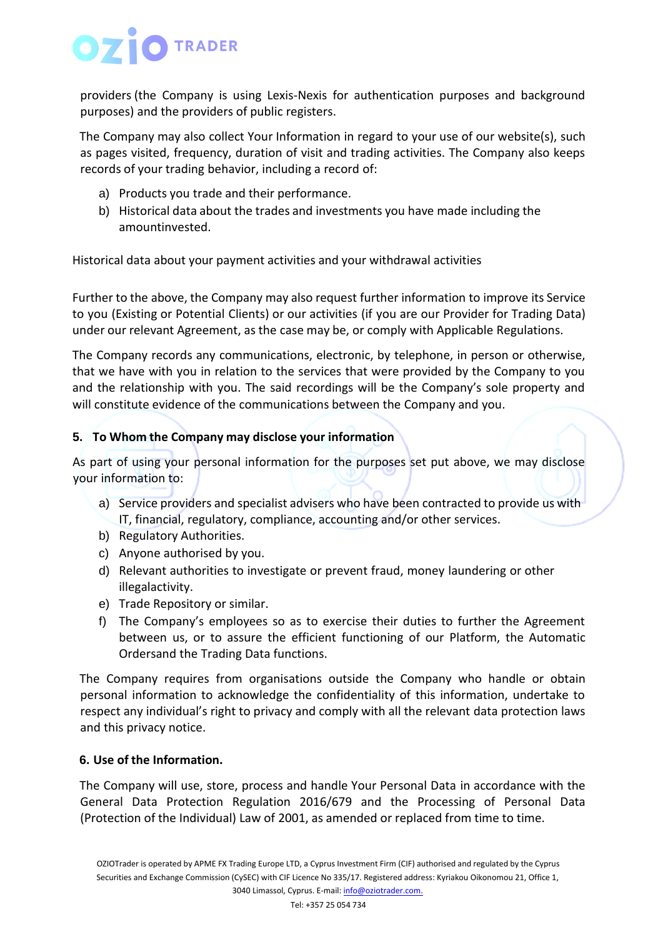providers (the Company is using Lexis-Nexis for authentication purposes and background purposes) and the providers of public registers.

The Company may also collect Your Information in regard to your use of our website(s), such as pages visited, frequency, duration of visit and trading activities. The Company also keeps records of your trading behavior, including a record of:

- a) Products you trade and their performance.
- b) Historical data about the trades and investments you have made including the amountinvested.

Historical data about your payment activities and your withdrawal activities

Further to the above, the Company may also request further information to improve its Service to you (Existing or Potential Clients) or our activities (if you are our Provider for Trading Data) under our relevant Agreement, as the case may be, or comply with Applicable Regulations.

The Company records any communications, electronic, by telephone, in person or otherwise, that we have with you in relation to the services that were provided by the Company to you and the relationship with you. The said recordings will be the Company's sole property and will constitute evidence of the communications between the Company and you.

## **5. To Whom the Company may disclose your information**

As part of using your personal information for the purposes set put above, we may disclose your information to:

- a) Service providers and specialist advisers who have been contracted to provide us with IT, financial, regulatory, compliance, accounting and/or other services.
- b) Regulatory Authorities.
- c) Anyone authorised by you.
- d) Relevant authorities to investigate or prevent fraud, money laundering or other illegalactivity.
- e) Trade Repository or similar.
- f) The Company's employees so as to exercise their duties to further the Agreement between us, or to assure the efficient functioning of our Platform, the Automatic Ordersand the Trading Data functions.

The Company requires from organisations outside the Company who handle or obtain personal information to acknowledge the confidentiality of this information, undertake to respect any individual's right to privacy and comply with all the relevant data protection laws and this privacy notice.

## **6. Use of the Information.**

The Company will use, store, process and handle Your Personal Data in accordance with the General Data Protection Regulation 2016/679 and the Processing of Personal Data (Protection of the Individual) Law of 2001, as amended or replaced from time to time.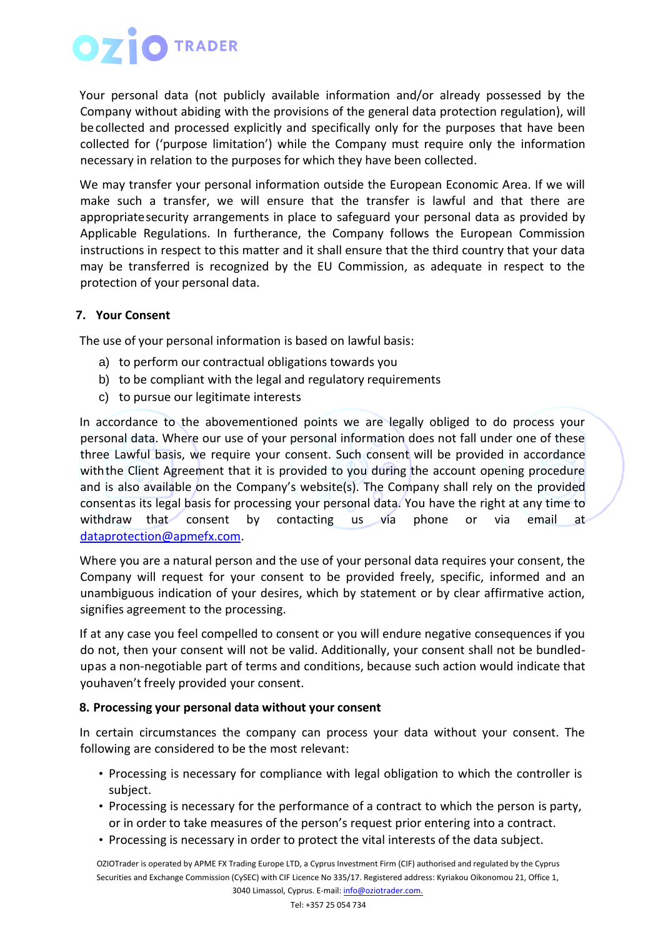## **O** TRADER

Your personal data (not publicly available information and/or already possessed by the Company without abiding with the provisions of the general data protection regulation), will becollected and processed explicitly and specifically only for the purposes that have been collected for ('purpose limitation') while the Company must require only the information necessary in relation to the purposes for which they have been collected.

We may transfer your personal information outside the European Economic Area. If we will make such a transfer, we will ensure that the transfer is lawful and that there are appropriatesecurity arrangements in place to safeguard your personal data as provided by Applicable Regulations. In furtherance, the Company follows the European Commission instructions in respect to this matter and it shall ensure that the third country that your data may be transferred is recognized by the EU Commission, as adequate in respect to the protection of your personal data.

## **7. Your Consent**

The use of your personal information is based on lawful basis:

- a) to perform our contractual obligations towards you
- b) to be compliant with the legal and regulatory requirements
- c) to pursue our legitimate interests

In accordance to the abovementioned points we are legally obliged to do process your personal data. Where our use of your personal information does not fall under one of these three Lawful basis, we require your consent. Such consent will be provided in accordance withthe Client Agreement that it is provided to you during the account opening procedure and is also available on the Company's website(s). The Company shall rely on the provided consentas its legal basis for processing your personal data. You have the right at any time to withdraw that consent by contacting us via phone or via email at [dataprotection@apmefx.com.](mailto:dataprotection@apmefx.com)

Where you are a natural person and the use of your personal data requires your consent, the Company will request for your consent to be provided freely, specific, informed and an unambiguous indication of your desires, which by statement or by clear affirmative action, signifies agreement to the processing.

If at any case you feel compelled to consent or you will endure negative consequences if you do not, then your consent will not be valid. Additionally, your consent shall not be bundledupas a non-negotiable part of terms and conditions, because such action would indicate that youhaven't freely provided your consent.

## **8. Processing your personal data without your consent**

In certain circumstances the company can process your data without your consent. The following are considered to be the most relevant:

- Processing is necessary for compliance with legal obligation to which the controller is subject.
- Processing is necessary for the performance of a contract to which the person is party, or in order to take measures of the person's request prior entering into a contract.
- Processing is necessary in order to protect the vital interests of the data subject.

OZIOTrader is operated by APME FX Trading Europe LTD, a Cyprus Investment Firm (CIF) authorised and regulated by the Cyprus Securities and Exchange Commission (CySEC) with CIF Licence No 335/17. Registered address: Kyriakou Oikonomou 21, Office 1, 3040 Limassol, Cyprus. E-mail[: info@oziotrader.com.](mailto:info@oziotrader.com)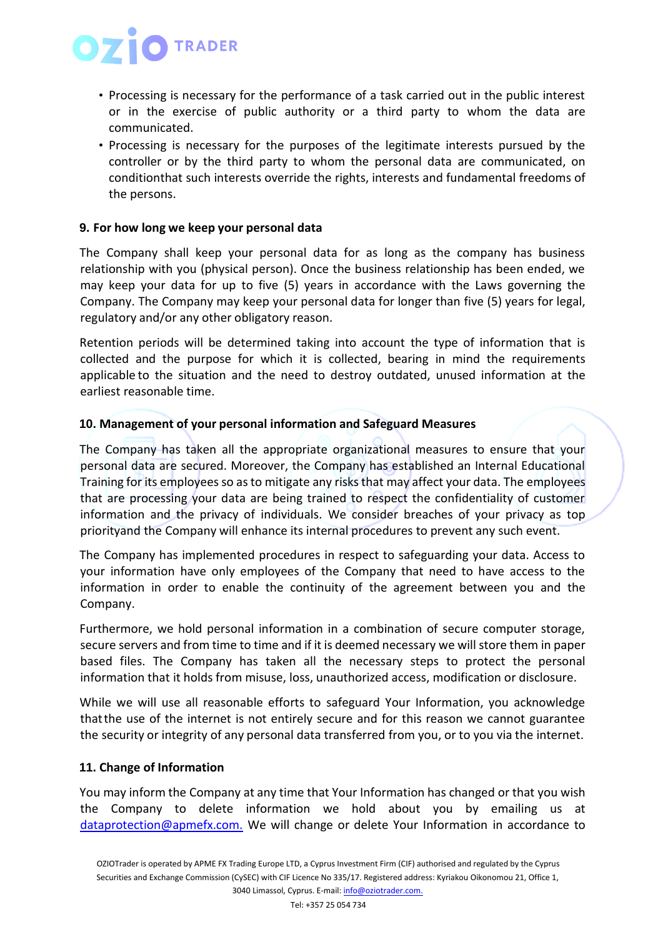- Processing is necessary for the performance of a task carried out in the public interest or in the exercise of public authority or a third party to whom the data are communicated.
- Processing is necessary for the purposes of the legitimate interests pursued by the controller or by the third party to whom the personal data are communicated, on conditionthat such interests override the rights, interests and fundamental freedoms of the persons.

#### **9. For how long we keep your personal data**

The Company shall keep your personal data for as long as the company has business relationship with you (physical person). Once the business relationship has been ended, we may keep your data for up to five (5) years in accordance with the Laws governing the Company. The Company may keep your personal data for longer than five (5) years for legal, regulatory and/or any other obligatory reason.

Retention periods will be determined taking into account the type of information that is collected and the purpose for which it is collected, bearing in mind the requirements applicable to the situation and the need to destroy outdated, unused information at the earliest reasonable time.

### **10. Management of your personal information and Safeguard Measures**

The Company has taken all the appropriate organizational measures to ensure that your personal data are secured. Moreover, the Company has established an Internal Educational Training for its employees so as to mitigate any risks that may affect your data. The employees that are processing your data are being trained to respect the confidentiality of customer information and the privacy of individuals. We consider breaches of your privacy as top priorityand the Company will enhance its internal procedures to prevent any such event.

The Company has implemented procedures in respect to safeguarding your data. Access to your information have only employees of the Company that need to have access to the information in order to enable the continuity of the agreement between you and the Company.

Furthermore, we hold personal information in a combination of secure computer storage, secure servers and from time to time and if it is deemed necessary we will store them in paper based files. The Company has taken all the necessary steps to protect the personal information that it holds from misuse, loss, unauthorized access, modification or disclosure.

While we will use all reasonable efforts to safeguard Your Information, you acknowledge thatthe use of the internet is not entirely secure and for this reason we cannot guarantee the security or integrity of any personal data transferred from you, or to you via the internet.

#### **11. Change of Information**

You may inform the Company at any time that Your Information has changed or that you wish the Company to delete information we hold about you by emailing us at [dataprotection@apmefx.com.](mailto:dataprotection@apmefx.com) We will change or delete Your Information in accordance to